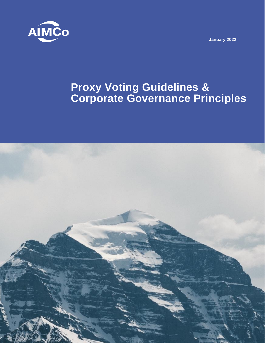

**January 2022**

# **Proxy Voting Guidelines & Corporate Governance Principles**

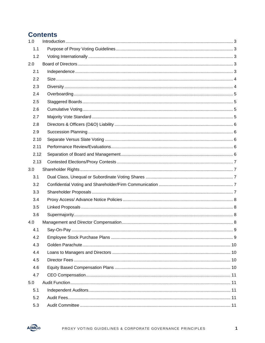## **Contents**

| 1.0  |  |  |  |
|------|--|--|--|
| 1.1  |  |  |  |
| 1.2  |  |  |  |
| 2.0  |  |  |  |
| 2.1  |  |  |  |
| 2.2  |  |  |  |
| 2.3  |  |  |  |
| 2.4  |  |  |  |
| 2.5  |  |  |  |
| 2.6  |  |  |  |
| 2.7  |  |  |  |
| 2.8  |  |  |  |
| 2.9  |  |  |  |
| 2.10 |  |  |  |
| 2.11 |  |  |  |
| 2.12 |  |  |  |
| 2.13 |  |  |  |
| 3.0  |  |  |  |
| 3.1  |  |  |  |
| 3.2  |  |  |  |
| 3.3  |  |  |  |
| 3.4  |  |  |  |
| 3.5  |  |  |  |
| 3.6  |  |  |  |
| 4.0  |  |  |  |
| 4.1  |  |  |  |
| 4.2  |  |  |  |
| 4.3  |  |  |  |
| 4.4  |  |  |  |
| 4.5  |  |  |  |
| 4.6  |  |  |  |
| 4.7  |  |  |  |
| 5.0  |  |  |  |
| 5.1  |  |  |  |
| 5.2  |  |  |  |
| 5.3  |  |  |  |

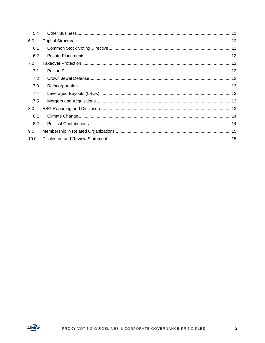| 5.4  |  |
|------|--|
| 6.0  |  |
| 6.1  |  |
| 6.2  |  |
| 7.0  |  |
| 7.1  |  |
| 7.2  |  |
| 7.3  |  |
| 7.4  |  |
| 7.5  |  |
| 8.0  |  |
| 8.1  |  |
| 8.2  |  |
| 9.0  |  |
| 10.0 |  |

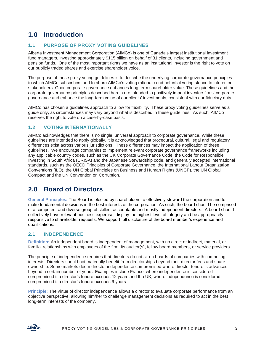# <span id="page-3-0"></span>**1.0 Introduction**

#### <span id="page-3-1"></span>**1.1 PURPOSE OF PROXY VOTING GUIDELINES**

Alberta Investment Management Corporation (AIMCo) is one of Canada's largest institutional investment fund managers, investing approximately \$115 billion on behalf of 31 clients, including government and pension funds. One of the most important rights we have as an institutional investor is the right to vote on our publicly traded shares and exercise shareholder voice.

The purpose of these proxy voting guidelines is to describe the underlying corporate governance principles to which AIMCo subscribes, and to share AIMCo's voting rationale and potential voting stance to interested stakeholders. Good corporate governance enhances long term shareholder value. These guidelines and the corporate governance principles described herein are intended to positively impact investee firms' corporate governance and enhance the long-term value of our clients' investments, consistent with our fiduciary duty.

AIMCo has chosen a guidelines approach to allow for flexibility. These proxy voting guidelines serve as a guide only, as circumstances may vary beyond what is described in these guidelines. As such, AIMCo reserves the right to vote on a case-by-case basis.

#### <span id="page-3-2"></span>**1.2 VOTING INTERNATIONALLY**

AIMCo acknowledges that there is no single, universal approach to corporate governance. While these guidelines are intended to apply globally, it is acknowledged that procedural, cultural, legal and regulatory differences exist across various jurisdictions. These differences may impact the application of these guidelines. We encourage companies to implement relevant corporate governance frameworks including any applicable country codes, such as the UK Corporate Governance Code, the Code for Responsible Investing in South Africa (CRISA) and the Japanese Stewardship code, and generally accepted international standards, such as the OECD Principles of Corporate Governance, the International Labour Organization Conventions (ILO), the UN Global Principles on Business and Human Rights (UNGP), the UN Global Compact and the UN Convention on Corruption.

### <span id="page-3-3"></span>**2.0 Board of Directors**

**General Principles:** The Board is elected by shareholders to effectively steward the corporation and to make fundamental decisions in the best interests of the corporation. As such, the board should be comprised of a competent and diverse group of skilled, accountable and mostly independent directors. A board should collectively have relevant business expertise, display the highest level of integrity and be appropriately responsive to shareholder requests. We support full disclosure of the board member's experience and qualifications.

#### <span id="page-3-4"></span>**2.1 INDEPENDENCE**

**Definition:** An independent board is independent of management, with no direct or indirect, material, or familial relationships with employees of the firm, its auditor(s), fellow board members, or service providers.

The principle of independence requires that directors do not sit on boards of companies with competing interests. Directors should not materially benefit from directorships beyond their director fees and share ownership. Some markets deem director independence compromised where director tenure is advanced beyond a certain number of years. Examples include France, where independence is considered compromised if a director's tenure exceeds 12 years and the UK, where independence is considered compromised if a director's tenure exceeds 9 years.

**Principle:** The virtue of director independence allows a director to evaluate corporate performance from an objective perspective, allowing him/her to challenge management decisions as required to act in the best long-term interests of the company.

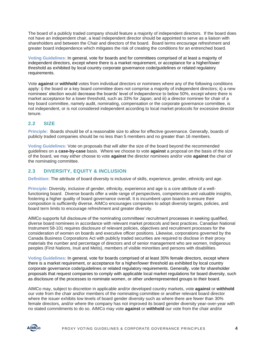The board of a publicly traded company should feature a majority of independent directors. If the board does not have an independent chair, a lead independent director should be appointed to serve as a liaison with shareholders and between the Chair and directors of the board. Board terms encourage refreshment and greater board independence which mitigates the risk of creating the conditions for an entrenched board.

**Voting Guidelines:** In general, vote for boards and for committees comprised of at least a majority of independent directors, except where there is a market requirement, or acceptance for a higher/lower threshold as exhibited by local country corporate governance code/guidelines or related regulatory requirements.

Vote **against** or **withhold** votes from individual directors or nominees where any of the following conditions apply: i) the board or a key board committee does not comprise a majority of independent directors; ii) a new nominees' election would decrease the boards' level of independence to below 50%, except where there is market acceptance for a lower threshold, such as 33% for Japan; and iii) a director nominee for chair of a key board committee, namely audit, nominating, compensation or the corporate governance committee, is not independent, or is not considered independent according to local market protocols for excessive director tenure.

#### <span id="page-4-0"></span>**2.2 SIZE**

**Principle:** Boards should be of a reasonable size to allow for effective governance. Generally, boards of publicly traded companies should be no less than 5 members and no greater than 16 members.

**Voting Guidelines:** Vote on proposals that will alter the size of the board beyond the recommended guidelines on a **case-by-case** basis. Where we choose to vote **against** a proposal on the basis of the size of the board, we may either choose to vote **against** the director nominees and/or vote **against** the chair of the nominating committee.

#### <span id="page-4-1"></span>**2.3 DIVERSITY, EQUITY & INCLUSION**

**Definition:** The attribute of board diversity is inclusive of skills, experience, gender, ethnicity and age.

**Principle:** Diversity, inclusive of gender, ethnicity, experience and age is a core attribute of a wellfunctioning board. Diverse boards offer a wide range of perspectives, competencies and valuable insights, fostering a higher quality of board governance overall. It is incumbent upon boards to ensure their composition is sufficiently diverse. AIMCo encourages companies to adopt diversity targets, policies, and board term limits to encourage refreshment and greater diversity.

AIMCo supports full disclosure of the nominating committees' recruitment processes in seeking qualified, diverse board nominees in accordance with relevant market protocols and best practices. Canadian National Instrument 58-101 requires disclosure of relevant policies, objectives and recruitment processes for the consideration of women on boards and executive officer positions. Likewise, corporations governed by the Canada Business Corporations Act with publicly traded securities are required to disclose in their proxy materials the number and percentage of directors and of senior management who are women, Indigenous peoples (First Nations, Inuit and Metis), members of visible minorities and persons with disabilities.

**Voting Guidelines:** In general, vote for boards comprised of at least 30% female directors, except where there is a market requirement, or acceptance for a higher/lower threshold as exhibited by local country corporate governance code/guidelines or related regulatory requirements. Generally, vote for shareholder proposals that request companies to comply with applicable local market regulations for board diversity, such as disclosure of the processes to nominate women, or other underrepresented groups to their board.

AIMCo may, subject to discretion in applicable and/or developed country markets, vote **against** or **withhold** our vote from the chair and/or members of the nominating committee or another relevant board director where the issuer exhibits low levels of board gender diversity such as where there are fewer than 30% female directors, and/or where the company has not improved its board gender diversity year-over-year with no stated commitments to do so. AIMCo may vote **against** or **withhold** our vote from the chair and/or

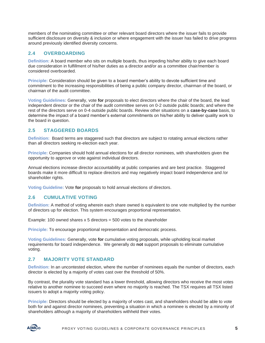members of the nominating committee or other relevant board directors where the issuer fails to provide sufficient disclosure on diversity & inclusion or where engagement with the issuer has failed to drive progress around previously identified diversity concerns.

#### <span id="page-5-0"></span>**2.4 OVERBOARDING**

**Definition:** A board member who sits on multiple boards, thus impeding his/her ability to give each board due consideration in fulfillment of his/her duties as a director and/or as a committee chair/member is considered overboarded.

**Principle:** Consideration should be given to a board member's ability to devote sufficient time and commitment to the increasing responsibilities of being a public company director, chairman of the board, or chairman of the audit committee.

**Voting Guidelines:** Generally, vote **for** proposals to elect directors where the chair of the board, the lead independent director or the chair of the audit committee serves on 0-2 outside public boards; and where the rest of the directors serve on 0-4 outside public boards. Review other situations on a **case-by-case** basis, to determine the impact of a board member's external commitments on his/her ability to deliver quality work to the board in question.

#### <span id="page-5-1"></span>**2.5 STAGGERED BOARDS**

**Definition:** Board terms are staggered such that directors are subject to rotating annual elections rather than all directors seeking re-election each year.

**Principle:** Companies should hold annual elections for all director nominees, with shareholders given the opportunity to approve or vote against individual directors.

Annual elections increase director accountability at public companies and are best practice. Staggered boards make it more difficult to replace directors and may negatively impact board independence and /or shareholder rights.

**Voting Guideline:** Vote **for** proposals to hold annual elections of directors.

#### <span id="page-5-2"></span>**2.6 CUMULATIVE VOTING**

**Definition:** A method of voting wherein each share owned is equivalent to one vote multiplied by the number of directors up for election. This system encourages proportional representation.

Example: 100 owned shares  $x$  5 directors = 500 votes to the shareholder

**Principle:** To encourage proportional representation and democratic process.

**Voting Guidelines:** Generally, vote **for** cumulative voting proposals, while upholding local market requirements for board independence. We generally do **not** support proposals to eliminate cumulative voting.

#### <span id="page-5-3"></span>**2.7 MAJORITY VOTE STANDARD**

**Definition:** In an uncontested election, where the number of nominees equals the number of directors, each director is elected by a majority of votes cast over the threshold of 50%.

By contrast, the plurality vote standard has a lower threshold, allowing directors who receive the most votes relative to another nominee to succeed even where no majority is reached. The TSX requires all TSX listed issuers to adopt a majority voting policy.

**Principle:** Directors should be elected by a majority of votes cast, and shareholders should be able to vote both for and against director nominees, preventing a situation in which a nominee is elected by a minority of shareholders although a majority of shareholders withheld their votes.

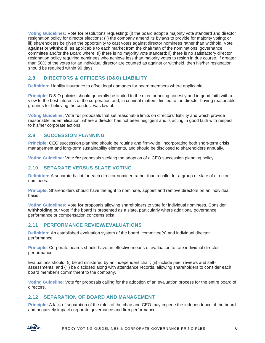**Voting Guidelines:** Vote **for** resolutions requesting: (i) the board adopt a majority vote standard and director resignation policy for director elections; (ii) the company amend its bylaws to provide for majority voting; or iii) shareholders be given the opportunity to cast votes against director nominees rather than withhold. Vote **against** or **withhold**, as applicable to each market from the chairman of the nominations, governance committee and/or the Board where: (i) there is no majority vote standard; ii) there is no satisfactory director resignation policy requiring nominees who achieve less than majority votes to resign in due course. If greater than 50% of the votes for an individual director are counted as against or withheld, then his/her resignation should be required within 90 days.

#### <span id="page-6-0"></span>**2.8 DIRECTORS & OFFICERS (D&O) LIABILITY**

**Definition:** Liability insurance to offset legal damages for board members where applicable.

**Principle:** D & O policies should generally be limited to the director acting honestly and in good faith with a view to the best interests of the corporation and, in criminal matters, limited to the director having reasonable grounds for believing the conduct was lawful.

**Voting Guideline:** Vote **for** proposals that set reasonable limits on directors' liability and which provide reasonable indemnification, where a director has not been negligent and is acting in good faith with respect to his/her corporate actions.

#### <span id="page-6-1"></span>**2.9 SUCCESSION PLANNING**

**Principle:** CEO succession planning should be routine and firm-wide, incorporating both short-term crisis management and long-term sustainability elements, and should be disclosed to shareholders annually.

**Voting Guideline:** Vote **for** proposals seeking the adoption of a CEO succession planning policy.

#### <span id="page-6-2"></span>**2.10 SEPARATE VERSUS SLATE VOTING**

**Definition:** A separate ballot for each director nominee rather than a ballot for a group or slate of director nominees.

**Principle:** Shareholders should have the right to nominate, appoint and remove directors on an individual basis.

**Voting Guidelines:** Vote **for** proposals allowing shareholders to vote for individual nominees. Consider **withholding** our vote if the board is presented as a slate, particularly where additional governance, performance or compensation concerns exist.

#### <span id="page-6-3"></span>**2.11 PERFORMANCE REVIEW/EVALUATIONS**

**Definition:** An established evaluation system of the board, committee(s) and individual director performance.

**Principle:** Corporate boards should have an effective means of evaluation to rate individual director performance.

Evaluations should: (i) be administered by an independent chair; (ii) include peer reviews and selfassessments; and (iii) be disclosed along with attendance records, allowing shareholders to consider each board member's commitment to the company.

**Voting Guideline:** Vote **for** proposals calling for the adoption of an evaluation process for the entire board of directors.

#### <span id="page-6-4"></span>**2.12 SEPARATION OF BOARD AND MANAGEMENT**

**Principle:** A lack of separation of the roles of the chair and CEO may impede the independence of the board and negatively impact corporate governance and firm performance.

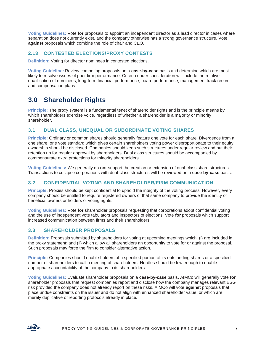**Voting Guidelines:** Vote **for** proposals to appoint an independent director as a lead director in cases where separation does not currently exist, and the company otherwise has a strong governance structure. Vote **against** proposals which combine the role of chair and CEO.

#### <span id="page-7-0"></span>**2.13 CONTESTED ELECTIONS/PROXY CONTESTS**

**Definition:** Voting for director nominees in contested elections.

**Voting Guideline:** Review competing proposals on a **case-by-case** basis and determine which are most likely to resolve issues of poor firm performance. Criteria under consideration will include the relative qualification of nominees, long-term financial performance, board performance, management track record and compensation plans.

# <span id="page-7-1"></span>**3.0 Shareholder Rights**

**Principle:** The proxy system is a fundamental tenet of shareholder rights and is the principle means by which shareholders exercise voice, regardless of whether a shareholder is a majority or minority shareholder.

#### <span id="page-7-2"></span>**3.1 DUAL CLASS, UNEQUAL OR SUBORDINATE VOTING SHARES**

**Principle:** Ordinary or common shares should generally feature one vote for each share. Divergence from a one share, one vote standard which gives certain shareholders voting power disproportionate to their equity ownership should be disclosed. Companies should keep such structures under regular review and put their retention up for regular approval by shareholders. Dual class structures should be accompanied by commensurate extra protections for minority shareholders.

**Voting Guidelines:** We generally do **not** support the creation or extension of dual-class share structures. Transactions to collapse corporations with dual-class structures will be reviewed on a **case-by-case** basis.

#### <span id="page-7-3"></span>**3.2 CONFIDENTIAL VOTING AND SHAREHOLDER/FIRM COMMUNICATION**

**Principle:** Proxies should be kept confidential to uphold the integrity of the voting process. However, every company should be entitled to require registered owners of that same company to provide the identity of beneficial owners or holders of voting rights.

**Voting Guidelines:** Vote **for** shareholder proposals requesting that corporations adopt confidential voting and the use of independent vote tabulators and inspectors of elections. Vote **for** proposals which support increased communication between firms and their shareholders.

#### <span id="page-7-4"></span>**3.3 SHAREHOLDER PROPOSALS**

**Definition:** Proposals submitted by shareholders for voting at upcoming meetings which: (i) are included in the proxy statement; and (ii) which allow all shareholders an opportunity to vote for or against the proposal. Such proposals may force the firm to consider alternative action.

**Principle:** Companies should enable holders of a specified portion of its outstanding shares or a specified number of shareholders to call a meeting of shareholders. Hurdles should be low enough to enable appropriate accountability of the company to its shareholders.

**Voting Guidelines:** Evaluate shareholder proposals on a **case-by-case** basis. AIMCo will generally vote **for** shareholder proposals that request companies report and disclose how the company manages relevant ESG risk provided the company does not already report on these risks. AIMCo will vote **against** proposals that place undue constraints on the issuer and do not align with enhanced shareholder value, or which are merely duplicative of reporting protocols already in place.

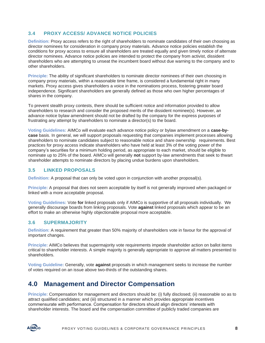#### <span id="page-8-0"></span>**3.4 PROXY ACCESS/ ADVANCE NOTICE POLICIES**

**Definition:** Proxy access refers to the right of shareholders to nominate candidates of their own choosing as director nominees for consideration in company proxy materials. Advance notice policies establish the conditions for proxy access to ensure all shareholders are treated equally and given timely notice of alternate director nominees. Advance notice policies are intended to protect the company from activist, dissident shareholders who are attempting to unseat the incumbent board without due warning to the company and to other shareholders.

**Principle:** The ability of significant shareholders to nominate director nominees of their own choosing in company proxy materials, within a reasonable time frame, is considered a fundamental right in many markets. Proxy access gives shareholders a voice in the nominations process, fostering greater board independence. Significant shareholders are generally defined as those who own higher percentages of shares in the company.

To prevent stealth proxy contests, there should be sufficient notice and information provided to allow shareholders to research and consider the proposed merits of the dissident nominee(s). However, an advance notice bylaw amendment should not be drafted by the company for the express purposes of frustrating any attempt by shareholders to nominate a director(s) to the board.

**Voting Guidelines:** AIMCo will evaluate each advance notice policy or bylaw amendment on a **case-bycase** basis. In general, we will support proposals requesting that companies implement processes allowing shareholders to nominate candidates subject to reasonable notice and share ownership requirements. Best practices for proxy access indicate shareholders who have held at least 3% of the voting power of the company's securities for a minimum holding period, as appropriate to each market, should be eligible to nominate up to 25% of the board. AIMCo will generally **not** support by-law amendments that seek to thwart shareholder attempts to nominate directors by placing undue burdens upon shareholders.

#### <span id="page-8-1"></span>**3.5 LINKED PROPOSALS**

**Definition:** A proposal that can only be voted upon in conjunction with another proposal(s).

**Principle:** A proposal that does not seem acceptable by itself is not generally improved when packaged or linked with a more acceptable proposal.

**Voting Guidelines:** Vote **for** linked proposals only if AIMCo is supportive of all proposals individually. We generally discourage boards from linking proposals. Vote **against** linked proposals which appear to be an effort to make an otherwise highly objectionable proposal more acceptable.

#### <span id="page-8-2"></span>**3.6 SUPERMAJORITY**

**Definition:** A requirement that greater than 50% majority of shareholders vote in favour for the approval of important changes.

**Principle:** AIMCo believes that supermajority vote requirements impede shareholder action on ballot items critical to shareholder interests. A simple majority is generally appropriate to approve all matters presented to shareholders.

**Voting Guideline:** Generally, vote **against** proposals in which management seeks to increase the number of votes required on an issue above two-thirds of the outstanding shares.

### <span id="page-8-3"></span>**4.0 Management and Director Compensation**

**Principle:** Compensation for management and directors should be: (i) fully disclosed; (ii) reasonable so as to attract qualified candidates; and (iii) structured in a manner which provides appropriate incentives commensurate with performance. Compensation for directors should align directors' interests with shareholder interests. The board and the compensation committee of publicly traded companies are

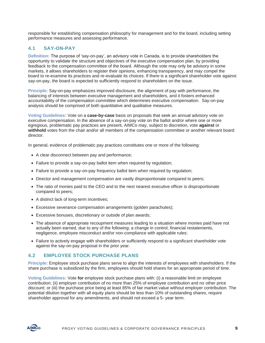responsible for establishing compensation philosophy for management and for the board, including setting performance measures and assessing performance.

#### <span id="page-9-0"></span>**4.1 SAY-ON-PAY**

**Definition:** The purpose of 'say-on-pay', an advisory vote in Canada, is to provide shareholders the opportunity to validate the structure and objectives of the executive compensation plan, by providing feedback to the compensation committee of the board. Although the vote may only be advisory in some markets, it allows shareholders to register their opinions, enhancing transparency, and may compel the board to re-examine its practices and re-evaluate its choices. If there is a significant shareholder vote against say-on-pay, the board is expected to sufficiently respond to shareholders on the issue.

**Principle:** Say-on-pay emphasizes improved disclosure, the alignment of pay with performance, the balancing of interests between executive management and shareholders, and it fosters enhanced accountability of the compensation committee which determines executive compensation. Say-on-pay analysis should be comprised of both quantitative and qualitative measures.

**Voting Guidelines:** Vote on a **case-by-case** basis on proposals that seek an annual advisory vote on executive compensation. In the absence of a say-on-pay vote on the ballot and/or where one or more egregious, problematic pay practices are present, AIMCo may, subject to discretion, vote **against** or **withhold** votes from the chair and/or all members of the compensation committee or another relevant board director.

In general, evidence of problematic pay practices constitutes one or more of the following:

- A clear disconnect between pay and performance;
- Failure to provide a say-on-pay ballot item when required by regulation;
- Failure to provide a say-on-pay frequency ballot item when required by regulation;
- Director and management compensation are vastly disproportionate compared to peers;
- The ratio of monies paid to the CEO and to the next nearest executive officer is disproportionate compared to peers;
- A distinct lack of long-term incentives;
- Excessive severance compensation arrangements (golden parachutes);
- Excessive bonuses, discretionary or outside of plan awards;
- The absence of appropriate recoupment measures leading to a situation where monies paid have not actually been earned, due to any of the following: a change in control, financial restatements, negligence, employee misconduct and/or non-compliance with applicable rules;
- Failure to actively engage with shareholders or sufficiently respond to a significant shareholder vote against the say-on-pay proposal in the prior year.

#### <span id="page-9-1"></span>**4.2 EMPLOYEE STOCK PURCHASE PLANS**

**Principle:** Employee stock purchase plans serve to align the interests of employees with shareholders. If the share purchase is subsidized by the firm, employees should hold shares for an appropriate period of time.

**Voting Guidelines:** Vote **for** employee stock purchase plans with: (i) a reasonable limit on employee contribution; (ii) employer contribution of no more than 25% of employee contribution and no other price discount; or (iii) the purchase price being at least 85% of fair market value without employer contribution. The potential dilution together with all equity plans should be less than 10% of outstanding shares, require shareholder approval for any amendments, and should not exceed a 5- year term.

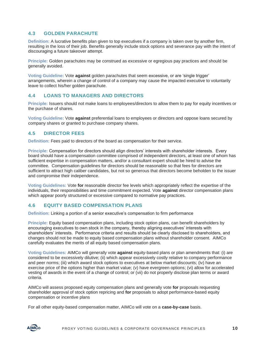#### <span id="page-10-0"></span>**4.3 GOLDEN PARACHUTE**

**Definition:** A lucrative benefits plan given to top executives if a company is taken over by another firm, resulting in the loss of their job. Benefits generally include stock options and severance pay with the intent of discouraging a future takeover attempt.

**Principle:** Golden parachutes may be construed as excessive or egregious pay practices and should be generally avoided.

**Voting Guideline:** Vote **against** golden parachutes that seem excessive, or are 'single trigger' arrangements, wherein a change of control of a company may cause the impacted executive to voluntarily leave to collect his/her golden parachute.

#### <span id="page-10-1"></span>**4.4 LOANS TO MANAGERS AND DIRECTORS**

**Principle:** Issuers should not make loans to employees/directors to allow them to pay for equity incentives or the purchase of shares.

**Voting Guideline:** Vote **against** preferential loans to employees or directors and oppose loans secured by company shares or granted to purchase company shares.

#### <span id="page-10-2"></span>**4.5 DIRECTOR FEES**

**Definition:** Fees paid to directors of the board as compensation for their service.

**Principle:** Compensation for directors should align directors' interests with shareholder interests. Every board should have a compensation committee comprised of independent directors, at least one of whom has sufficient expertise in compensation matters, and/or a consultant expert should be hired to advise the committee. Compensation guidelines for directors should be reasonable so that fees for directors are sufficient to attract high caliber candidates, but not so generous that directors become beholden to the issuer and compromise their independence.

**Voting Guidelines:** Vote **for** reasonable director fee levels which appropriately reflect the expertise of the individuals, their responsibilities and time commitment expected. Vote **against** director compensation plans which appear poorly structured or excessive compared to normative pay practices.

#### <span id="page-10-3"></span>**4.6 EQUITY BASED COMPENSATION PLANS**

**Definition:** Linking a portion of a senior executive's compensation to firm performance

**Principle:** Equity based compensation plans, including stock option plans, can benefit shareholders by encouraging executives to own stock in the company, thereby aligning executives' interests with shareholders' interests. Performance criteria and results should be clearly disclosed to shareholders, and changes should not be made to equity based compensation plans without shareholder consent. AIMCo carefully evaluates the merits of all equity based compensation plans.

**Voting Guidelines:** AIMCo will generally vote **against** equity-based plans or plan amendments that: (i) are considered to be excessively dilutive; (ii) which appear excessively costly relative to company performance and peer norms; (iii) which award stock options to executives at below market discounts; (iv) have an exercise price of the options higher than market value; (v) have evergreen options; (vi) allow for accelerated vesting of awards in the event of a change of control; or (vii) do not properly disclose plan terms or award criteria.

AIMCo will assess proposed equity compensation plans and generally vote **for** proposals requesting shareholder approval of stock option repricing and **for** proposals to adopt performance-based equity compensation or incentive plans

For all other equity-based compensation matter, AIMCo will vote on a **case-by-case** basis.

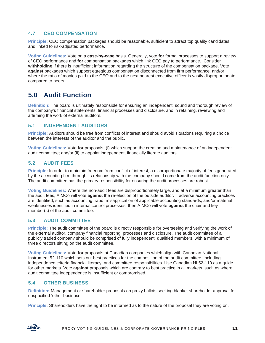#### <span id="page-11-0"></span>**4.7 CEO COMPENSATION**

**Principle:** CEO compensation packages should be reasonable, sufficient to attract top quality candidates and linked to risk-adjusted performance.

**Voting Guidelines:** Vote on a **case-by-case** basis. Generally, vote **for** formal processes to support a review of CEO performance and **for** compensation packages which link CEO pay to performance. Consider **withholding** if there is insufficient information regarding the structure of the compensation package. Vote **against** packages which support egregious compensation disconnected from firm performance, and/or where the ratio of monies paid to the CEO and to the next nearest executive officer is vastly disproportionate compared to peers.

## <span id="page-11-1"></span>**5.0 Audit Function**

**Definition:** The board is ultimately responsible for ensuring an independent, sound and thorough review of the company's financial statements, financial processes and disclosure, and in retaining, reviewing and affirming the work of external auditors.

#### <span id="page-11-2"></span>**5.1 INDEPENDENT AUDITORS**

**Principle:** Auditors should be free from conflicts of interest and should avoid situations requiring a choice between the interests of the auditor and the public.

**Voting Guidelines:** Vote **for** proposals: (i) which support the creation and maintenance of an independent audit committee; and/or (ii) to appoint independent, financially literate auditors.

#### <span id="page-11-3"></span>**5.2 AUDIT FEES**

**Principle:** In order to maintain freedom from conflict of interest, a disproportionate majority of fees generated by the accounting firm through its relationship with the company should come from the audit function only. The audit committee has the primary responsibility for ensuring the audit processes are robust.

**Voting Guidelines:** Where the non-audit fees are disproportionately large, and at a minimum greater than the audit fees, AIMCo will vote **against** the re-election of the outside auditor. If adverse accounting practices are identified, such as accounting fraud, misapplication of applicable accounting standards, and/or material weaknesses identified in internal control processes, then AIMCo will vote **against** the chair and key member(s) of the audit committee.

#### <span id="page-11-4"></span>**5.3 AUDIT COMMITTEE**

**Principle:** The audit committee of the board is directly responsible for overseeing and verifying the work of the external auditor, company financial reporting, processes and disclosure. The audit committee of a publicly traded company should be comprised of fully independent, qualified members, with a minimum of three directors sitting on the audit committee.

**Voting Guidelines:** Vote **for** proposals at Canadian companies which align with Canadian National Instrument 52-110 which sets out best practices for the composition of the audit committee, including independence criteria financial literacy, and committee responsibilities. Use Canadian NI 52-110 as a guide for other markets. Vote **against** proposals which are contrary to best practice in all markets, such as where audit committee independence is insufficient or compromised.

#### <span id="page-11-5"></span>**5.4 OTHER BUSINESS**

**Definition:** Management or shareholder proposals on proxy ballots seeking blanket shareholder approval for unspecified 'other business.'

**Principle:** Shareholders have the right to be informed as to the nature of the proposal they are voting on.

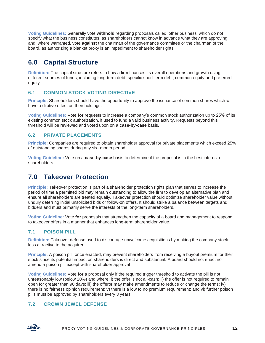**Voting Guidelines:** Generally vote **withhold** regarding proposals called 'other business' which do not specify what the business constitutes, as shareholders cannot know in advance what they are approving and, where warranted, vote **against** the chairman of the governance committee or the chairman of the board, as authorizing a blanket proxy is an impediment to shareholder rights.

# <span id="page-12-0"></span>**6.0 Capital Structure**

**Definition:** The capital structure refers to how a firm finances its overall operations and growth using different sources of funds, including long-term debt, specific short-term debt, common equity and preferred equity.

#### <span id="page-12-1"></span>**6.1 COMMON STOCK VOTING DIRECTIVE**

**Principle:** Shareholders should have the opportunity to approve the issuance of common shares which will have a dilutive effect on their holdings.

**Voting Guidelines:** Vote **for** requests to increase a company's common stock authorization up to 25% of its existing common stock authorization, if used to fund a valid business activity. Requests beyond this threshold will be reviewed and voted upon on a **case-by-case** basis.

#### <span id="page-12-2"></span>**6.2 PRIVATE PLACEMENTS**

**Principle:** Companies are required to obtain shareholder approval for private placements which exceed 25% of outstanding shares during any six- month period.

**Voting Guideline:** Vote on a **case-by-case** basis to determine if the proposal is in the best interest of shareholders.

# <span id="page-12-3"></span>**7.0 Takeover Protection**

**Principle:** Takeover protection is part of a shareholder protection rights plan that serves to increase the period of time a permitted bid may remain outstanding to allow the firm to develop an alternative plan and ensure all shareholders are treated equally. Takeover protection should optimize shareholder value without unduly deterring initial unsolicited bids or follow-on offers. It should strike a balance between targets and bidders and must primarily serve the interests of the long-term shareholders.

**Voting Guideline:** Vote **for** proposals that strengthen the capacity of a board and management to respond to takeover offers in a manner that enhances long-term shareholder value.

#### <span id="page-12-4"></span>**7.1 POISON PILL**

**Definition:** Takeover defense used to discourage unwelcome acquisitions by making the company stock less attractive to the acquirer.

**Principle:** A poison pill, once enacted, may prevent shareholders from receiving a buyout premium for their stock since its potential impact on shareholders is direct and substantial. A board should not enact nor amend a poison pill except with shareholder approval

**Voting Guidelines:** Vote **for** a proposal only if the required trigger threshold to activate the pill is not unreasonably low (below 20%) and where: i) the offer is not all-cash; ii) the offer is not required to remain open for greater than 90 days; iii) the offeror may make amendments to reduce or change the terms; iv) there is no fairness opinion requirement; v) there is a low to no premium requirement; and vi) further poison pills must be approved by shareholders every 3 years.

#### <span id="page-12-5"></span>**7.2 CROWN JEWEL DEFENSE**

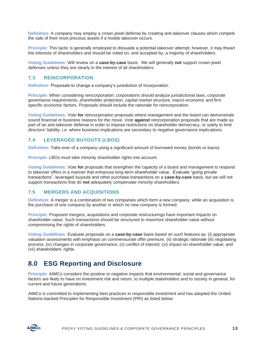**Definition:** A company may employ a crown jewel defense by creating anti-takeover clauses which compels the sale of their most precious assets if a hostile takeover occurs.

**Principle:** This tactic is generally employed to dissuade a potential takeover attempt; however, it may thwart the interests of shareholders and should be voted on, and accepted by, a majority of shareholders.

**Voting Guidelines:** Will review on a **case-by-case** basis. We will generally **not** support crown jewel defenses unless they are clearly in the interest of all shareholders.

#### <span id="page-13-0"></span>**7.3 REINCORPORATION**

**Definition:** Proposals to change a company's jurisdiction of incorporation.

**Principle:** When considering reincorporation, corporations should analyze jurisdictional laws, corporate governance requirements, shareholder protection, capital market structure, macro-economic and firm specific economic factors. Proposals should include the rationale for reincorporation.

**Voting Guidelines:** Vote **for** reincorporation proposals where management and the board can demonstrate sound financial or business reasons for the move. Vote **against** reincorporation proposals that are made as part of an anti-takeover defense in order to impose restrictions on shareholder democracy, or solely to limit directors' liability, i.e. where business implications are secondary to negative governance implications.

#### <span id="page-13-1"></span>**7.4 LEVERAGED BUYOUTS (LBOS)**

**Definition:** Take-over of a company using a significant amount of borrowed money (bonds or loans).

**Principle:** LBOs must take minority shareholder rights into account.

**Voting Guidelines:** Vote **for** proposals that strengthen the capacity of a board and management to respond to takeover offers in a manner that enhances long-term shareholder value. Evaluate "going private transactions", leveraged buyouts and other purchase transactions on a **case-by-case** basis, but we will not support transactions that do **not** adequately compensate minority shareholders.

#### <span id="page-13-2"></span>**7.5 MERGERS AND ACQUISITIONS**

**Definition:** A merger is a combination of two companies which form a new company, while an acquisition is the purchase of one company by another in which no new company is formed.

**Principle:** Proposed mergers, acquisitions and corporate restructurings have important impacts on shareholder value. Such transactions should be structured to maximize shareholder value without compromising the rights of shareholders.

**Voting Guidelines:** Evaluate proposals on a **case-by-case** basis based on such features as: (i) appropriate valuation assessments with emphasis on commensurate offer premium, (ii) strategic rationale (iii) negotiating process; (iv) changes in corporate governance; (v) conflict of interest; (vi) impact on shareholder value; and (vii) shareholders' rights.

## <span id="page-13-3"></span>**8.0 ESG Reporting and Disclosure**

**Principle:** AIMCo considers the positive or negative impacts that environmental, social and governance factors are likely to have on investment risk and return, to multiple stakeholders and to society in general, for current and future generations.

AIMCo is committed to implementing best practices in responsible investment and has adopted the United Nations-backed Principles for Responsible Investment (PRI) as listed below:

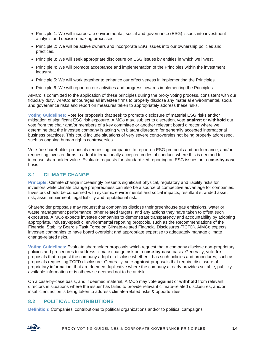- Principle 1: We will incorporate environmental, social and governance (ESG) issues into investment analysis and decision-making processes.
- Principle 2: We will be active owners and incorporate ESG issues into our ownership policies and practices.
- Principle 3: We will seek appropriate disclosure on ESG issues by entities in which we invest.
- Principle 4: We will promote acceptance and implementation of the Principles within the investment industry.
- Principle 5: We will work together to enhance our effectiveness in implementing the Principles.
- Principle 6: We will report on our activities and progress towards implementing the Principles.

AIMCo is committed to the application of these principles during the proxy voting process, consistent with our fiduciary duty. AIMCo encourages all investee firms to properly disclose any material environmental, social and governance risks and report on measures taken to appropriately address these risks.

**Voting Guidelines:** Vote **for** proposals that seek to promote disclosure of material ESG risks and/or mitigation of significant ESG risk exposure. AIMCo may, subject to discretion, vote **against** or **withhold** our vote from the chair and/or members of a key committee or another relevant board director where we determine that the investee company is acting with blatant disregard for generally accepted international business practices. This could include situations of very severe controversies not being properly addressed, such as ongoing human rights controversies.

Vote **for** shareholder proposals requesting companies to report on ESG protocols and performance, and/or requesting investee firms to adopt internationally accepted codes of conduct, where this is deemed to increase shareholder value. Evaluate requests for standardized reporting on ESG issues on a **case-by-case** basis.

#### <span id="page-14-0"></span>**8.1 CLIMATE CHANGE**

**Principle:** Climate change increasingly presents significant physical, regulatory and liability risks for investors while climate change preparedness can also be a source of competitive advantage for companies. Investors should be concerned with systemic environmental and social impacts, resultant stranded asset risk, asset impairment, legal liability and reputational risk.

Shareholder proposals may request that companies disclose their greenhouse gas emissions, water or waste management performance, other related targets, and any actions they have taken to offset such exposures. AIMCo expects investee companies to demonstrate transparency and accountability by adopting appropriate, industry-specific, environmental reporting protocols, such as the Recommendations of the Financial Stability Board's Task Force on Climate-related Financial Disclosures (TCFD). AIMCo expects investee companies to have board oversight and appropriate expertise to adequately manage climate change-related risks.

**Voting Guidelines:** Evaluate shareholder proposals which request that a company disclose non-proprietary policies and procedures to address climate change risk on a **case-by-case** basis. Generally, vote **for**  proposals that request the company adopt or disclose whether it has such policies and procedures, such as proposals requesting TCFD disclosure. Generally, vote **against** proposals that require disclosure of proprietary information, that are deemed duplicative where the company already provides suitable, publicly available information or is otherwise deemed not to be at risk.

On a case-by-case basis, and if deemed material, AIMCo may vote **against** or **withhold** from relevant directors in situations where the issuer has failed to provide relevant climate-related disclosures, and/or insufficient action is being taken to address climate-related risks & opportunities.

#### <span id="page-14-1"></span>**8.2 POLITICAL CONTRIBUTIONS**

**Definition:** Companies' contributions to political organizations and/or to political campaigns

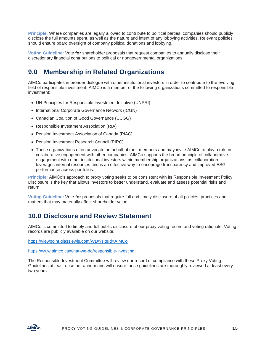**Principle:** Where companies are legally allowed to contribute to political parties, companies should publicly disclose the full amounts spent, as well as the nature and intent of any lobbying activities. Relevant policies should ensure board oversight of company political donations and lobbying.

**Voting Guideline:** Vote **for** shareholder proposals that request companies to annually disclose their discretionary financial contributions to political or nongovernmental organizations.

# <span id="page-15-0"></span>**9.0 Membership in Related Organizations**

AIMCo participates in broader dialogue with other institutional investors in order to contribute to the evolving field of responsible investment. AIMCo is a member of the following organizations committed to responsible investment:

- UN Principles for Responsible Investment Initiative (UNPRI)
- International Corporate Governance Network (ICGN)
- Canadian Coalition of Good Governance (CCGG)
- Responsible Investment Association (RIA)
- Pension Investment Association of Canada (PIAC)
- Pension Investment Research Council (PIRC)
- These organizations often advocate on behalf of their members and may invite AIMCo to play a role in collaborative engagement with other companies. AIMCo supports the broad principle of collaborative engagement with other institutional investors within membership organizations, as collaboration leverages internal resources and is an effective way to encourage transparency and improved ESG performance across portfolios.

**Principle:** AIMCo's approach to proxy voting seeks to be consistent with its Responsible Investment Policy. Disclosure is the key that allows investors to better understand, evaluate and assess potential risks and return.

**Voting Guideline:** Vote **for** proposals that require full and timely disclosure of all policies, practices and matters that may materially affect shareholder value.

### <span id="page-15-1"></span>**10.0 Disclosure and Review Statement**

AIMCo is committed to timely and full public disclosure of our proxy voting record and voting rationale. Voting records are publicly available on our website:

<https://viewpoint.glasslewis.com/WD/?siteId=AIMCo>

<https://www.aimco.ca/what-we-do/responsible-investing>

The Responsible Investment Committee will review our record of compliance with these Proxy Voting Guidelines at least once per annum and will ensure these guidelines are thoroughly reviewed at least every two years.